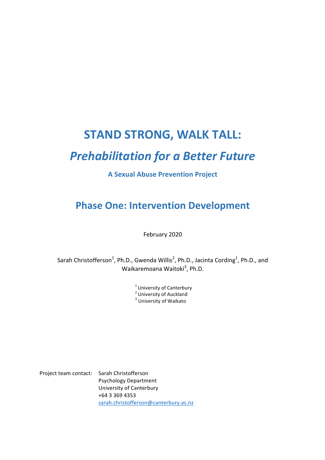# **STAND STRONG, WALK TALL:**

# *Prehabilitation for a Better Future*

### **A Sexual Abuse Prevention Project**

# **Phase One: Intervention Development**

February 2020

Sarah Christofferson<sup>1</sup>, Ph.D., Gwenda Willis<sup>2</sup>, Ph.D., Jacinta Cording<sup>1</sup>, Ph.D., and Waikaremoana Waitoki<sup>3</sup>, Ph.D.

> $^1$  University of Canterbury<br><sup>2</sup> University of Auckland  $3$  University of Waikato

Project team contact: Sarah Christofferson Psychology Department University of Canterbury +64 3 369 4353 sarah.christofferson@canterbury.ac.nz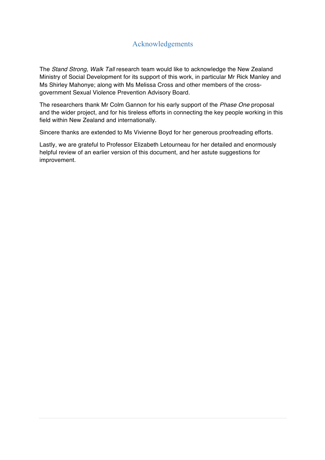# Acknowledgements

The *Stand Strong, Walk Tall* research team would like to acknowledge the New Zealand Ministry of Social Development for its support of this work, in particular Mr Rick Manley and Ms Shirley Mahonye; along with Ms Melissa Cross and other members of the crossgovernment Sexual Violence Prevention Advisory Board.

The researchers thank Mr Colm Gannon for his early support of the *Phase One* proposal and the wider project, and for his tireless efforts in connecting the key people working in this field within New Zealand and internationally.

Sincere thanks are extended to Ms Vivienne Boyd for her generous proofreading efforts.

Lastly, we are grateful to Professor Elizabeth Letourneau for her detailed and enormously helpful review of an earlier version of this document, and her astute suggestions for improvement.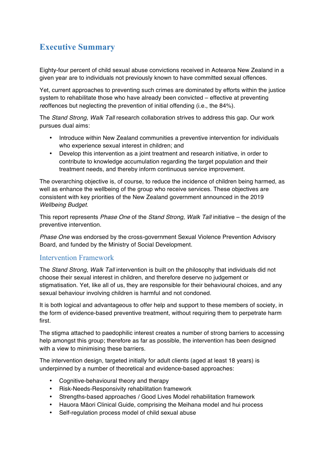# **Executive Summary**

Eighty-four percent of child sexual abuse convictions received in Aotearoa New Zealand in a given year are to individuals not previously known to have committed sexual offences.

Yet, current approaches to preventing such crimes are dominated by efforts within the justice system to rehabilitate those who have already been convicted – effective at preventing *reoffences but neglecting the prevention of initial offending (i.e., the 84%).* 

The *Stand Strong, Walk Tall* research collaboration strives to address this gap. Our work pursues dual aims:

- Introduce within New Zealand communities a preventive intervention for individuals who experience sexual interest in children; and
- Develop this intervention as a joint treatment and research initiative, in order to contribute to knowledge accumulation regarding the target population and their treatment needs, and thereby inform continuous service improvement.

The overarching objective is, of course, to reduce the incidence of children being harmed, as well as enhance the wellbeing of the group who receive services. These objectives are consistent with key priorities of the New Zealand government announced in the 2019 *Wellbeing Budget*.

This report represents *Phase One* of the *Stand Strong, Walk Tall* initiative – the design of the preventive intervention.

*Phase One* was endorsed by the cross-government Sexual Violence Prevention Advisory Board, and funded by the Ministry of Social Development.

#### Intervention Framework

The *Stand Strong, Walk Tall* intervention is built on the philosophy that individuals did not choose their sexual interest in children, and therefore deserve no judgement or stigmatisation. Yet, like all of us, they are responsible for their behavioural choices, and any sexual behaviour involving children is harmful and not condoned.

It is both logical and advantageous to offer help and support to these members of society, in the form of evidence-based preventive treatment, without requiring them to perpetrate harm first.

The stigma attached to paedophilic interest creates a number of strong barriers to accessing help amongst this group; therefore as far as possible, the intervention has been designed with a view to minimising these barriers.

The intervention design, targeted initially for adult clients (aged at least 18 years) is underpinned by a number of theoretical and evidence-based approaches:

- Cognitive-behavioural theory and therapy
- Risk-Needs-Responsivity rehabilitation framework
- Strengths-based approaches / Good Lives Model rehabilitation framework
- Hauora Māori Clinical Guide, comprising the Meihana model and hui process
- Self-regulation process model of child sexual abuse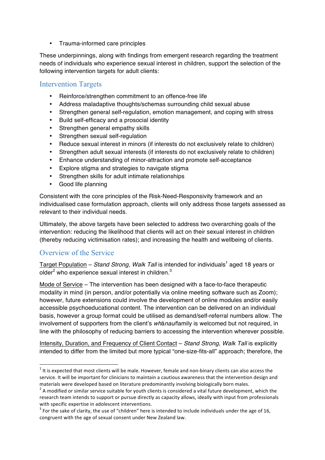• Trauma-informed care principles

These underpinnings, along with findings from emergent research regarding the treatment needs of individuals who experience sexual interest in children, support the selection of the following intervention targets for adult clients:

#### Intervention Targets

- Reinforce/strengthen commitment to an offence-free life
- Address maladaptive thoughts/schemas surrounding child sexual abuse
- Strengthen general self-regulation, emotion management, and coping with stress
- Build self-efficacy and a prosocial identity
- Strengthen general empathy skills
- Strengthen sexual self-regulation
- Reduce sexual interest in minors (if interests do not exclusively relate to children)
- Strengthen adult sexual interests (if interests do not exclusively relate to children)
- Enhance understanding of minor-attraction and promote self-acceptance
- Explore stigma and strategies to navigate stigma
- Strengthen skills for adult intimate relationships
- Good life planning

Consistent with the core principles of the Risk-Need-Responsivity framework and an individualised case formulation approach, clients will only address those targets assessed as relevant to their individual needs.

Ultimately, the above targets have been selected to address two overarching goals of the intervention: reducing the likelihood that clients will act on their sexual interest in children (thereby reducing victimisation rates); and increasing the health and wellbeing of clients.

#### Overview of the Service

<u> 1989 - Jan Samuel Barbara, margaret e</u>

Target Population - Stand Strong, Walk Tall is intended for individuals<sup>1</sup> aged 18 years or older $^2$  who experience sexual interest in children. $^3$ 

Mode of Service – The intervention has been designed with a face-to-face therapeutic modality in mind (in person, and/or potentially via online meeting software such as Zoom); however, future extensions could involve the development of online modules and/or easily accessible psychoeducational content. The intervention can be delivered on an individual basis, however a group format could be utilised as demand/self-referral numbers allow. The involvement of supporters from the client's *wh*ā*nau*/family is welcomed but not required, in line with the philosophy of reducing barriers to accessing the intervention wherever possible.

Intensity, Duration, and Frequency of Client Contact – *Stand Strong, Walk Tall* is explicitly intended to differ from the limited but more typical "one-size-fits-all" approach; therefore, the

 $1$  It is expected that most clients will be male. However, female and non-binary clients can also access the service. It will be important for clinicians to maintain a cautious awareness that the intervention design and materials were developed based on literature predominantly involving biologically born males.

 $<sup>2</sup>$  A modified or similar service suitable for youth clients is considered a vital future development, which the</sup> research team intends to support or pursue directly as capacity allows, ideally with input from professionals with specific expertise in adolescent interventions.<br><sup>3</sup> For the sake of clarity, the use of "children" here is intended to include individuals under the age of 16,

congruent with the age of sexual consent under New Zealand law.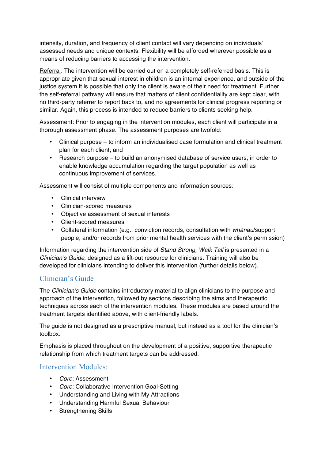intensity, duration, and frequency of client contact will vary depending on individuals' assessed needs and unique contexts. Flexibility will be afforded wherever possible as a means of reducing barriers to accessing the intervention.

Referral: The intervention will be carried out on a completely self-referred basis. This is appropriate given that sexual interest in children is an internal experience, and outside of the justice system it is possible that only the client is aware of their need for treatment. Further, the self-referral pathway will ensure that matters of client confidentiality are kept clear, with no third-party referrer to report back to, and no agreements for clinical progress reporting or similar. Again, this process is intended to reduce barriers to clients seeking help.

Assessment: Prior to engaging in the intervention modules, each client will participate in a thorough assessment phase. The assessment purposes are twofold:

- Clinical purpose to inform an individualised case formulation and clinical treatment plan for each client; and
- Research purpose to build an anonymised database of service users, in order to enable knowledge accumulation regarding the target population as well as continuous improvement of services.

Assessment will consist of multiple components and information sources:

- Clinical interview
- Clinician-scored measures
- Objective assessment of sexual interests
- Client-scored measures
- Collateral information (e.g., conviction records, consultation with *wh*ā*nau*/support people, and/or records from prior mental health services with the client's permission)

Information regarding the intervention side of *Stand Strong, Walk Tall* is presented in a *Clinician's Guide*, designed as a lift-out resource for clinicians. Training will also be developed for clinicians intending to deliver this intervention (further details below).

## Clinician's Guide

The *Clinician's Guide* contains introductory material to align clinicians to the purpose and approach of the intervention, followed by sections describing the aims and therapeutic techniques across each of the intervention modules. These modules are based around the treatment targets identified above, with client-friendly labels.

The guide is not designed as a prescriptive manual, but instead as a tool for the clinician's toolbox.

Emphasis is placed throughout on the development of a positive, supportive therapeutic relationship from which treatment targets can be addressed.

#### Intervention Modules:

- *Core*: Assessment
- *Core*: Collaborative Intervention Goal-Setting
- Understanding and Living with My Attractions
- Understanding Harmful Sexual Behaviour
- Strengthening Skills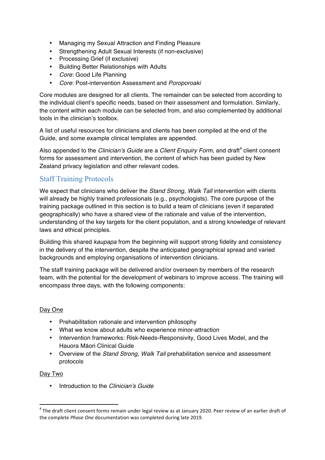- Managing my Sexual Attraction and Finding Pleasure
- Strengthening Adult Sexual Interests (if non-exclusive)
- Processing Grief (if exclusive)
- Building Better Relationships with Adults
- *Core*: Good Life Planning
- *Core*: Post-intervention Assessment and *Poroporoaki*

Core modules are designed for all clients. The remainder can be selected from according to the individual client's specific needs, based on their assessment and formulation. Similarly, the content within each module can be selected from, and also complemented by additional tools in the clinician's toolbox.

A list of useful resources for clinicians and clients has been compiled at the end of the Guide, and some example clinical templates are appended.

Also appended to the *Clinician's Guide* are a *Client Enquiry Form*, and draft<sup>4</sup> client consent forms for assessment and intervention, the content of which has been guided by New Zealand privacy legislation and other relevant codes.

# Staff Training Protocols

We expect that clinicians who deliver the *Stand Strong, Walk Tall* intervention with clients will already be highly trained professionals (e.g., psychologists). The core purpose of the training package outlined in this section is to build a team of clinicians (even if separated geographically) who have a shared view of the rationale and value of the intervention, understanding of the key targets for the client population, and a strong knowledge of relevant laws and ethical principles.

Building this shared *kaupapa* from the beginning will support strong fidelity and consistency in the delivery of the intervention, despite the anticipated geographical spread and varied backgrounds and employing organisations of intervention clinicians.

The staff training package will be delivered and/or overseen by members of the research team, with the potential for the development of webinars to improve access. The training will encompass three days, with the following components:

#### Day One

- Prehabilitation rationale and intervention philosophy
- What we know about adults who experience minor-attraction
- Intervention frameworks: Risk-Needs-Responsivity, Good Lives Model, and the Hauora Māori Clinical Guide
- Overview of the *Stand Strong, Walk Tall* prehabilitation service and assessment protocols

#### Day Two

• Introduction to the *Clinician's Guide*

<u> 1989 - Jan Samuel Barbara, margaret e</u>

 $4$  The draft client consent forms remain under legal review as at January 2020. Peer review of an earlier draft of the complete *Phase One* documentation was completed during late 2019.